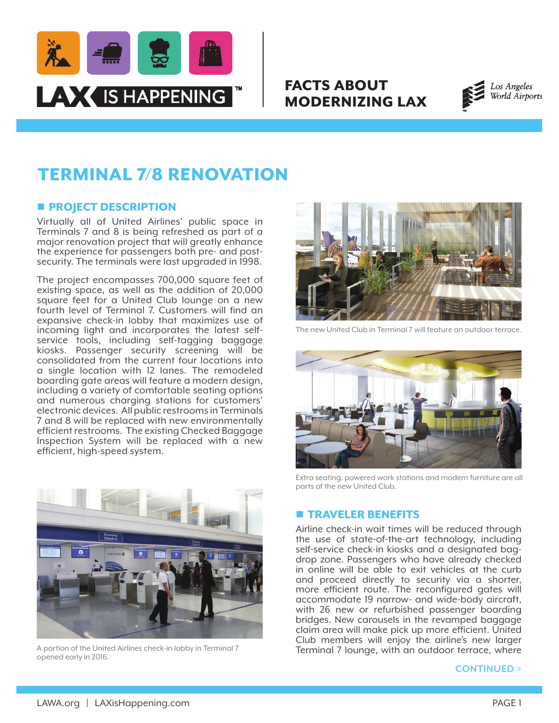

# FACTS ABOUT MODERNIZING LAX



# TERMINAL 7/8 RENOVATION

## **n** PROJECT DESCRIPTION

Virtually all of United Airlines' public space in Terminals 7 and 8 is being refreshed as part of a major renovation project that will greatly enhance the experience for passengers both pre- and postsecurity. The terminals were last upgraded in 1998.

The project encompasses 700,000 square feet of existing space, as well as the addition of 20,000 square feet for a United Club lounge on a new fourth level of Terminal 7. Customers will find an expansive check-in lobby that maximizes use of incoming light and incorporates the latest selfservice tools, including self-tagging baggage kiosks. Passenger security screening will be consolidated from the current four locations into a single location with 12 lanes. The remodeled boarding gate areas will feature a modern design, including a variety of comfortable seating options and numerous charging stations for customers' electronic devices. All public restrooms in Terminals 7 and 8 will be replaced with new environmentally efficient restrooms. The existing Checked Baggage Inspection System will be replaced with a new efficient, high-speed system.



A portion of the United Airlines check-in lobby in Terminal 7 opened early in 2016.



The new United Club in Terminal 7 will feature an outdoor terrace.



Extra seating, powered work stations and modern furniture are all parts of the new United Club.

## **n** TRAVELER BENEFITS

Airline check-in wait times will be reduced through the use of state-of-the-art technology, including self-service check-in kiosks and a designated bagdrop zone. Passengers who have already checked in online will be able to exit vehicles at the curb and proceed directly to security via a shorter, more efficient route. The reconfigured gates will accommodate 19 narrow- and wide-body aircraft, with 26 new or refurbished passenger boarding bridges. New carousels in the revamped baggage claim area will make pick up more efficient. United Club members will enjoy the airline's new larger Terminal 7 lounge, with an outdoor terrace, where

#### **CONTINUED >**